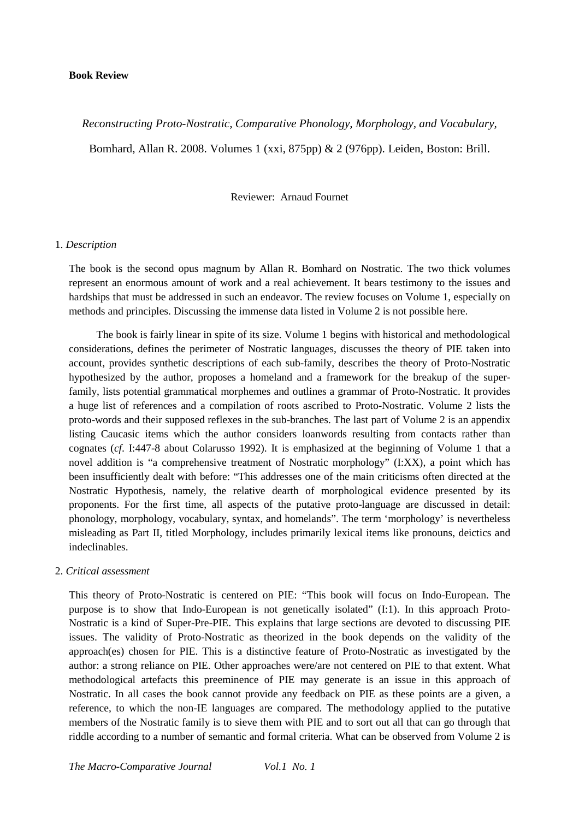# **Book Review**

# *Reconstructing Proto-Nostratic, Comparative Phonology, Morphology, and Vocabulary,*

Bomhard, Allan R. 2008. Volumes 1 (xxi, 875pp) & 2 (976pp). Leiden, Boston: Brill.

Reviewer: Arnaud Fournet

#### 1. *Description*

The book is the second opus magnum by Allan R. Bomhard on Nostratic. The two thick volumes represent an enormous amount of work and a real achievement. It bears testimony to the issues and hardships that must be addressed in such an endeavor. The review focuses on Volume 1, especially on methods and principles. Discussing the immense data listed in Volume 2 is not possible here.

The book is fairly linear in spite of its size. Volume 1 begins with historical and methodological considerations, defines the perimeter of Nostratic languages, discusses the theory of PIE taken into account, provides synthetic descriptions of each sub-family, describes the theory of Proto-Nostratic hypothesized by the author, proposes a homeland and a framework for the breakup of the superfamily, lists potential grammatical morphemes and outlines a grammar of Proto-Nostratic. It provides a huge list of references and a compilation of roots ascribed to Proto-Nostratic. Volume 2 lists the proto-words and their supposed reflexes in the sub-branches. The last part of Volume 2 is an appendix listing Caucasic items which the author considers loanwords resulting from contacts rather than cognates (*cf*. I:447-8 about Colarusso 1992). It is emphasized at the beginning of Volume 1 that a novel addition is "a comprehensive treatment of Nostratic morphology" (I:XX), a point which has been insufficiently dealt with before: "This addresses one of the main criticisms often directed at the Nostratic Hypothesis, namely, the relative dearth of morphological evidence presented by its proponents. For the first time, all aspects of the putative proto-language are discussed in detail: phonology, morphology, vocabulary, syntax, and homelands". The term 'morphology' is nevertheless misleading as Part II, titled Morphology, includes primarily lexical items like pronouns, deictics and indeclinables.

# 2. *Critical assessment*

This theory of Proto-Nostratic is centered on PIE: "This book will focus on Indo-European. The purpose is to show that Indo-European is not genetically isolated" (I:1). In this approach Proto-Nostratic is a kind of Super-Pre-PIE. This explains that large sections are devoted to discussing PIE issues. The validity of Proto-Nostratic as theorized in the book depends on the validity of the approach(es) chosen for PIE. This is a distinctive feature of Proto-Nostratic as investigated by the author: a strong reliance on PIE. Other approaches were/are not centered on PIE to that extent. What methodological artefacts this preeminence of PIE may generate is an issue in this approach of Nostratic. In all cases the book cannot provide any feedback on PIE as these points are a given, a reference, to which the non-IE languages are compared. The methodology applied to the putative members of the Nostratic family is to sieve them with PIE and to sort out all that can go through that riddle according to a number of semantic and formal criteria. What can be observed from Volume 2 is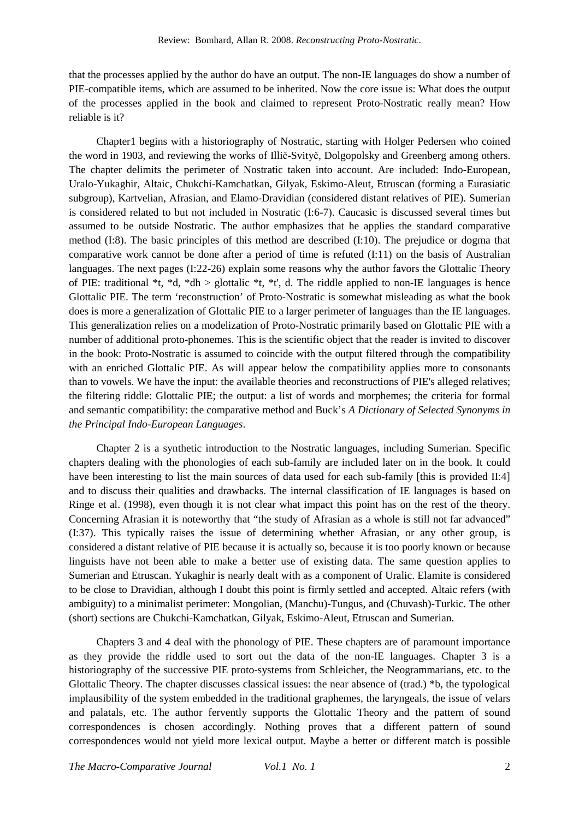that the processes applied by the author do have an output. The non-IE languages do show a number of PIE-compatible items, which are assumed to be inherited. Now the core issue is: What does the output of the processes applied in the book and claimed to represent Proto-Nostratic really mean? How reliable is it?

Chapter1 begins with a historiography of Nostratic, starting with Holger Pedersen who coined the word in 1903, and reviewing the works of Illič-Svityč, Dolgopolsky and Greenberg among others. The chapter delimits the perimeter of Nostratic taken into account. Are included: Indo-European, Uralo-Yukaghir, Altaic, Chukchi-Kamchatkan, Gilyak, Eskimo-Aleut, Etruscan (forming a Eurasiatic subgroup), Kartvelian, Afrasian, and Elamo-Dravidian (considered distant relatives of PIE). Sumerian is considered related to but not included in Nostratic (I:6-7). Caucasic is discussed several times but assumed to be outside Nostratic. The author emphasizes that he applies the standard comparative method (I:8). The basic principles of this method are described (I:10). The prejudice or dogma that comparative work cannot be done after a period of time is refuted (I:11) on the basis of Australian languages. The next pages (I:22-26) explain some reasons why the author favors the Glottalic Theory of PIE: traditional \*t, \*d, \*dh > glottalic \*t, \*t', d. The riddle applied to non-IE languages is hence Glottalic PIE. The term 'reconstruction' of Proto-Nostratic is somewhat misleading as what the book does is more a generalization of Glottalic PIE to a larger perimeter of languages than the IE languages. This generalization relies on a modelization of Proto-Nostratic primarily based on Glottalic PIE with a number of additional proto-phonemes. This is the scientific object that the reader is invited to discover in the book: Proto-Nostratic is assumed to coincide with the output filtered through the compatibility with an enriched Glottalic PIE. As will appear below the compatibility applies more to consonants than to vowels. We have the input: the available theories and reconstructions of PIE's alleged relatives; the filtering riddle: Glottalic PIE; the output: a list of words and morphemes; the criteria for formal and semantic compatibility: the comparative method and Buck's *A Dictionary of Selected Synonyms in the Principal Indo-European Languages*.

Chapter 2 is a synthetic introduction to the Nostratic languages, including Sumerian. Specific chapters dealing with the phonologies of each sub-family are included later on in the book. It could have been interesting to list the main sources of data used for each sub-family [this is provided II:4] and to discuss their qualities and drawbacks. The internal classification of IE languages is based on Ringe et al. (1998), even though it is not clear what impact this point has on the rest of the theory. Concerning Afrasian it is noteworthy that "the study of Afrasian as a whole is still not far advanced" (I:37). This typically raises the issue of determining whether Afrasian, or any other group, is considered a distant relative of PIE because it is actually so, because it is too poorly known or because linguists have not been able to make a better use of existing data. The same question applies to Sumerian and Etruscan. Yukaghir is nearly dealt with as a component of Uralic. Elamite is considered to be close to Dravidian, although I doubt this point is firmly settled and accepted. Altaic refers (with ambiguity) to a minimalist perimeter: Mongolian, (Manchu)-Tungus, and (Chuvash)-Turkic. The other (short) sections are Chukchi-Kamchatkan, Gilyak, Eskimo-Aleut, Etruscan and Sumerian.

Chapters 3 and 4 deal with the phonology of PIE. These chapters are of paramount importance as they provide the riddle used to sort out the data of the non-IE languages. Chapter 3 is a historiography of the successive PIE proto-systems from Schleicher, the Neogrammarians, etc. to the Glottalic Theory. The chapter discusses classical issues: the near absence of (trad.) \*b, the typological implausibility of the system embedded in the traditional graphemes, the laryngeals, the issue of velars and palatals, etc. The author fervently supports the Glottalic Theory and the pattern of sound correspondences is chosen accordingly. Nothing proves that a different pattern of sound correspondences would not yield more lexical output. Maybe a better or different match is possible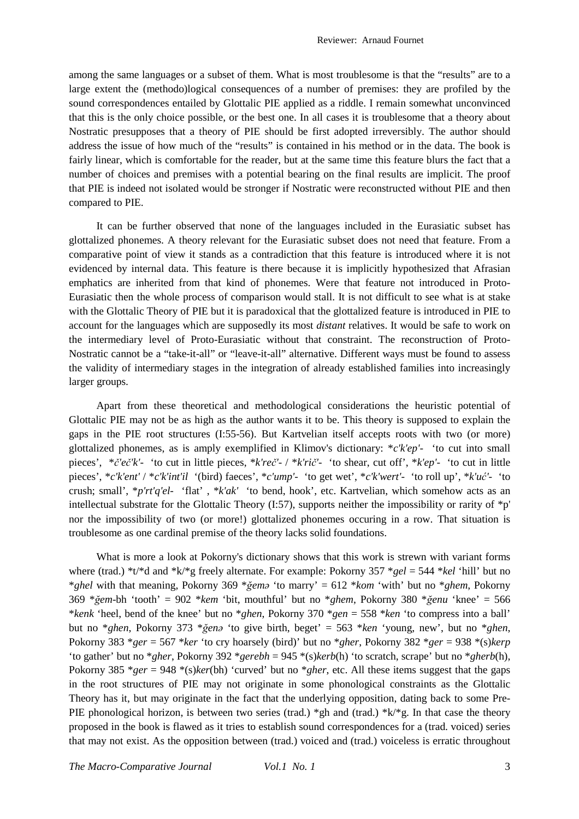among the same languages or a subset of them. What is most troublesome is that the "results" are to a large extent the (methodo)logical consequences of a number of premises: they are profiled by the sound correspondences entailed by Glottalic PIE applied as a riddle. I remain somewhat unconvinced that this is the only choice possible, or the best one. In all cases it is troublesome that a theory about Nostratic presupposes that a theory of PIE should be first adopted irreversibly. The author should address the issue of how much of the "results" is contained in his method or in the data. The book is fairly linear, which is comfortable for the reader, but at the same time this feature blurs the fact that a number of choices and premises with a potential bearing on the final results are implicit. The proof that PIE is indeed not isolated would be stronger if Nostratic were reconstructed without PIE and then compared to PIE.

It can be further observed that none of the languages included in the Eurasiatic subset has glottalized phonemes. A theory relevant for the Eurasiatic subset does not need that feature. From a comparative point of view it stands as a contradiction that this feature is introduced where it is not evidenced by internal data. This feature is there because it is implicitly hypothesized that Afrasian emphatics are inherited from that kind of phonemes. Were that feature not introduced in Proto-Eurasiatic then the whole process of comparison would stall. It is not difficult to see what is at stake with the Glottalic Theory of PIE but it is paradoxical that the glottalized feature is introduced in PIE to account for the languages which are supposedly its most *distant* relatives. It would be safe to work on the intermediary level of Proto-Eurasiatic without that constraint. The reconstruction of Proto-Nostratic cannot be a "take-it-all" or "leave-it-all" alternative. Different ways must be found to assess the validity of intermediary stages in the integration of already established families into increasingly larger groups.

Apart from these theoretical and methodological considerations the heuristic potential of Glottalic PIE may not be as high as the author wants it to be. This theory is supposed to explain the gaps in the PIE root structures (I:55-56). But Kartvelian itself accepts roots with two (or more) glottalized phonemes, as is amply exemplified in Klimov's dictionary: \**c'k'ep'*- 'to cut into small pieces', \**č'eč'k'*- 'to cut in little pieces, \**k'reč'*- / \**k'rič'*- 'to shear, cut off', \**k'ep'*- 'to cut in little pieces', \**c'k'ent'* / \**c'k'int'il* '(bird) faeces', \**c'ump'*- 'to get wet', \**c'k'wert'*- 'to roll up', \**k'uć'-* 'to crush; small', \**p'rt'q'el-* 'flat' , \**k'ak'* 'to bend, hook', etc. Kartvelian, which somehow acts as an intellectual substrate for the Glottalic Theory (I:57), supports neither the impossibility or rarity of \*p' nor the impossibility of two (or more!) glottalized phonemes occuring in a row. That situation is troublesome as one cardinal premise of the theory lacks solid foundations.

What is more a look at Pokorny's dictionary shows that this work is strewn with variant forms where (trad.) \*t/\*d and \*k/\*g freely alternate. For example: Pokorny 357 \**gel* = 544 \**kel* 'hill' but no \**ghel* with that meaning, Pokorny 369 \**ğemə* 'to marry' = 612 \**kom* 'with' but no \**ghem*, Pokorny 369 \**ğem*-bh 'tooth' = 902 \**kem* 'bit, mouthful' but no \**ghem*, Pokorny 380 \**ğenu* 'knee' = 566 \**kenk* 'heel, bend of the knee' but no \**ghen*, Pokorny 370 \**gen* = 558 \**ken* 'to compress into a ball' but no \**ghen*, Pokorny 373 \**ğenə* 'to give birth, beget' = 563 \**ken* 'young, new', but no \**ghen*, Pokorny 383 \**ger* = 567 \**ker* 'to cry hoarsely (bird)' but no \**gher*, Pokorny 382 \**ger* = 938 \*(s)*kerp* 'to gather' but no \**gher*, Pokorny 392 \**gerebh* = 945 \*(s)*kerb*(h) 'to scratch, scrape' but no \**gherb*(h), Pokorny 385 \**ger* = 948 \*(s)*ker*(bh) 'curved' but no \**gher*, etc. All these items suggest that the gaps in the root structures of PIE may not originate in some phonological constraints as the Glottalic Theory has it, but may originate in the fact that the underlying opposition, dating back to some Pre-PIE phonological horizon, is between two series (trad.) \*gh and (trad.) \* $k$ /\*g. In that case the theory proposed in the book is flawed as it tries to establish sound correspondences for a (trad. voiced) series that may not exist. As the opposition between (trad.) voiced and (trad.) voiceless is erratic throughout

*The Macro-Comparative Journal Vol.1 No. 1* 3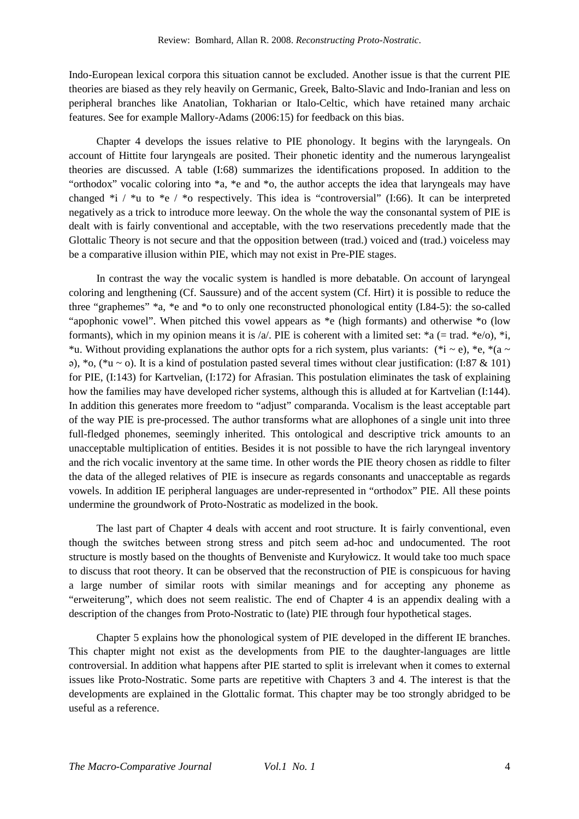Indo-European lexical corpora this situation cannot be excluded. Another issue is that the current PIE theories are biased as they rely heavily on Germanic, Greek, Balto-Slavic and Indo-Iranian and less on peripheral branches like Anatolian, Tokharian or Italo-Celtic, which have retained many archaic features. See for example Mallory-Adams (2006:15) for feedback on this bias.

Chapter 4 develops the issues relative to PIE phonology. It begins with the laryngeals. On account of Hittite four laryngeals are posited. Their phonetic identity and the numerous laryngealist theories are discussed. A table (I:68) summarizes the identifications proposed. In addition to the "orthodox" vocalic coloring into \*a, \*e and \*o, the author accepts the idea that laryngeals may have changed  $*_i$  /  $*_u$  to  $*_e$  /  $*_o$  respectively. This idea is "controversial" (I:66). It can be interpreted negatively as a trick to introduce more leeway. On the whole the way the consonantal system of PIE is dealt with is fairly conventional and acceptable, with the two reservations precedently made that the Glottalic Theory is not secure and that the opposition between (trad.) voiced and (trad.) voiceless may be a comparative illusion within PIE, which may not exist in Pre-PIE stages.

In contrast the way the vocalic system is handled is more debatable. On account of laryngeal coloring and lengthening (Cf. Saussure) and of the accent system (Cf. Hirt) it is possible to reduce the three "graphemes" \*a, \*e and \*o to only one reconstructed phonological entity (I.84-5): the so-called "apophonic vowel". When pitched this vowel appears as \*e (high formants) and otherwise \*o (low formants), which in my opinion means it is /a/. PIE is coherent with a limited set:  $a = \text{trad.} \cdot e$ /o),  $a$ <sub>i</sub>, \*u. Without providing explanations the author opts for a rich system, plus variants: (\*i ~ e), \*e, \*(a ~  $\pi$ ), \*o, (\*u ~ o). It is a kind of postulation pasted several times without clear justification: (I:87 & 101) for PIE, (I:143) for Kartvelian, (I:172) for Afrasian. This postulation eliminates the task of explaining how the families may have developed richer systems, although this is alluded at for Kartvelian (I:144). In addition this generates more freedom to "adjust" comparanda. Vocalism is the least acceptable part of the way PIE is pre-processed. The author transforms what are allophones of a single unit into three full-fledged phonemes, seemingly inherited. This ontological and descriptive trick amounts to an unacceptable multiplication of entities. Besides it is not possible to have the rich laryngeal inventory and the rich vocalic inventory at the same time. In other words the PIE theory chosen as riddle to filter the data of the alleged relatives of PIE is insecure as regards consonants and unacceptable as regards vowels. In addition IE peripheral languages are under-represented in "orthodox" PIE. All these points undermine the groundwork of Proto-Nostratic as modelized in the book.

The last part of Chapter 4 deals with accent and root structure. It is fairly conventional, even though the switches between strong stress and pitch seem ad-hoc and undocumented. The root structure is mostly based on the thoughts of Benveniste and Kuryłowicz. It would take too much space to discuss that root theory. It can be observed that the reconstruction of PIE is conspicuous for having a large number of similar roots with similar meanings and for accepting any phoneme as "erweiterung", which does not seem realistic. The end of Chapter 4 is an appendix dealing with a description of the changes from Proto-Nostratic to (late) PIE through four hypothetical stages.

Chapter 5 explains how the phonological system of PIE developed in the different IE branches. This chapter might not exist as the developments from PIE to the daughter-languages are little controversial. In addition what happens after PIE started to split is irrelevant when it comes to external issues like Proto-Nostratic. Some parts are repetitive with Chapters 3 and 4. The interest is that the developments are explained in the Glottalic format. This chapter may be too strongly abridged to be useful as a reference.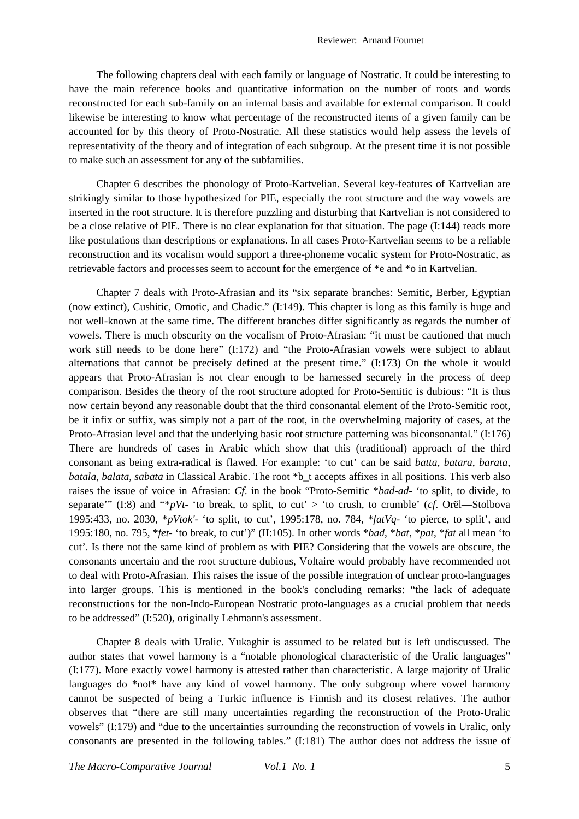The following chapters deal with each family or language of Nostratic. It could be interesting to have the main reference books and quantitative information on the number of roots and words reconstructed for each sub-family on an internal basis and available for external comparison. It could likewise be interesting to know what percentage of the reconstructed items of a given family can be accounted for by this theory of Proto-Nostratic. All these statistics would help assess the levels of representativity of the theory and of integration of each subgroup. At the present time it is not possible to make such an assessment for any of the subfamilies.

Chapter 6 describes the phonology of Proto-Kartvelian. Several key-features of Kartvelian are strikingly similar to those hypothesized for PIE, especially the root structure and the way vowels are inserted in the root structure. It is therefore puzzling and disturbing that Kartvelian is not considered to be a close relative of PIE. There is no clear explanation for that situation. The page (I:144) reads more like postulations than descriptions or explanations. In all cases Proto-Kartvelian seems to be a reliable reconstruction and its vocalism would support a three-phoneme vocalic system for Proto-Nostratic, as retrievable factors and processes seem to account for the emergence of \*e and \*o in Kartvelian.

Chapter 7 deals with Proto-Afrasian and its "six separate branches: Semitic, Berber, Egyptian (now extinct), Cushitic, Omotic, and Chadic." (I:149). This chapter is long as this family is huge and not well-known at the same time. The different branches differ significantly as regards the number of vowels. There is much obscurity on the vocalism of Proto-Afrasian: "it must be cautioned that much work still needs to be done here" (I:172) and "the Proto-Afrasian vowels were subject to ablaut alternations that cannot be precisely defined at the present time." (I:173) On the whole it would appears that Proto-Afrasian is not clear enough to be harnessed securely in the process of deep comparison. Besides the theory of the root structure adopted for Proto-Semitic is dubious: "It is thus now certain beyond any reasonable doubt that the third consonantal element of the Proto-Semitic root, be it infix or suffix, was simply not a part of the root, in the overwhelming majority of cases, at the Proto-Afrasian level and that the underlying basic root structure patterning was biconsonantal." (I:176) There are hundreds of cases in Arabic which show that this (traditional) approach of the third consonant as being extra-radical is flawed. For example: 'to cut' can be said *batta*, *batara*, *barata*, *batala*, *balata*, *sabata* in Classical Arabic. The root \*b\_t accepts affixes in all positions. This verb also raises the issue of voice in Afrasian: *Cf*. in the book "Proto-Semitic \**bad*-*ad*- 'to split, to divide, to separate'" (I:8) and "\**pVt*- 'to break, to split, to cut' > 'to crush, to crumble' (*cf*. Orël—Stolbova 1995:433, no. 2030, \**pVtok'*- 'to split, to cut', 1995:178, no. 784, \**fatVq*- 'to pierce, to split', and 1995:180, no. 795, \**fet*- 'to break, to cut')" (II:105). In other words \**bad*, \**bat*, \**pat*, \**fat* all mean 'to cut'. Is there not the same kind of problem as with PIE? Considering that the vowels are obscure, the consonants uncertain and the root structure dubious, Voltaire would probably have recommended not to deal with Proto-Afrasian. This raises the issue of the possible integration of unclear proto-languages into larger groups. This is mentioned in the book's concluding remarks: "the lack of adequate reconstructions for the non-Indo-European Nostratic proto-languages as a crucial problem that needs to be addressed" (I:520), originally Lehmann's assessment.

Chapter 8 deals with Uralic. Yukaghir is assumed to be related but is left undiscussed. The author states that vowel harmony is a "notable phonological characteristic of the Uralic languages" (I:177). More exactly vowel harmony is attested rather than characteristic. A large majority of Uralic languages do \*not\* have any kind of vowel harmony. The only subgroup where vowel harmony cannot be suspected of being a Turkic influence is Finnish and its closest relatives. The author observes that "there are still many uncertainties regarding the reconstruction of the Proto-Uralic vowels" (I:179) and "due to the uncertainties surrounding the reconstruction of vowels in Uralic, only consonants are presented in the following tables." (I:181) The author does not address the issue of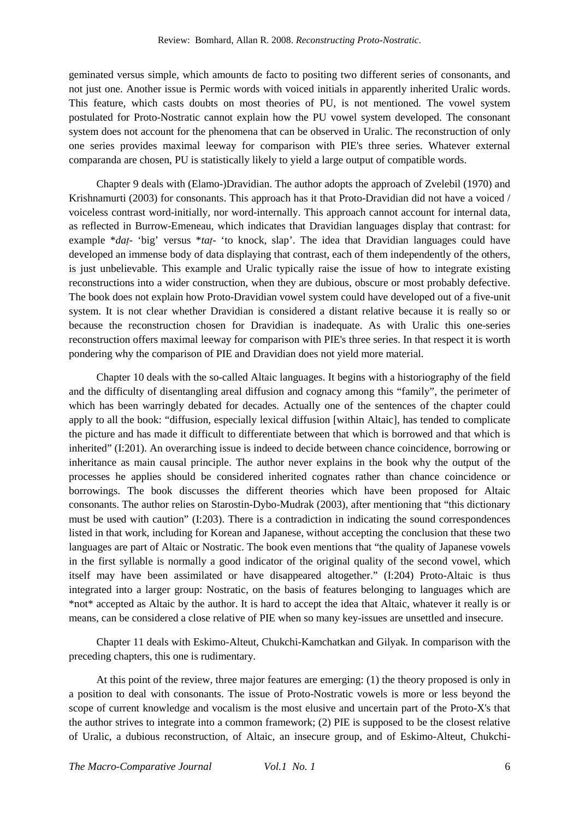geminated versus simple, which amounts de facto to positing two different series of consonants, and not just one. Another issue is Permic words with voiced initials in apparently inherited Uralic words. This feature, which casts doubts on most theories of PU, is not mentioned. The vowel system postulated for Proto-Nostratic cannot explain how the PU vowel system developed. The consonant system does not account for the phenomena that can be observed in Uralic. The reconstruction of only one series provides maximal leeway for comparison with PIE's three series. Whatever external comparanda are chosen, PU is statistically likely to yield a large output of compatible words.

Chapter 9 deals with (Elamo-)Dravidian. The author adopts the approach of Zvelebil (1970) and Krishnamurti (2003) for consonants. This approach has it that Proto-Dravidian did not have a voiced / voiceless contrast word-initially, nor word-internally. This approach cannot account for internal data, as reflected in Burrow-Emeneau, which indicates that Dravidian languages display that contrast: for example \**daṭ*- 'big' versus \**taṭ*- 'to knock, slap'. The idea that Dravidian languages could have developed an immense body of data displaying that contrast, each of them independently of the others, is just unbelievable. This example and Uralic typically raise the issue of how to integrate existing reconstructions into a wider construction, when they are dubious, obscure or most probably defective. The book does not explain how Proto-Dravidian vowel system could have developed out of a five-unit system. It is not clear whether Dravidian is considered a distant relative because it is really so or because the reconstruction chosen for Dravidian is inadequate. As with Uralic this one-series reconstruction offers maximal leeway for comparison with PIE's three series. In that respect it is worth pondering why the comparison of PIE and Dravidian does not yield more material.

Chapter 10 deals with the so-called Altaic languages. It begins with a historiography of the field and the difficulty of disentangling areal diffusion and cognacy among this "family", the perimeter of which has been warringly debated for decades. Actually one of the sentences of the chapter could apply to all the book: "diffusion, especially lexical diffusion [within Altaic], has tended to complicate the picture and has made it difficult to differentiate between that which is borrowed and that which is inherited" (I:201). An overarching issue is indeed to decide between chance coincidence, borrowing or inheritance as main causal principle. The author never explains in the book why the output of the processes he applies should be considered inherited cognates rather than chance coincidence or borrowings. The book discusses the different theories which have been proposed for Altaic consonants. The author relies on Starostin-Dybo-Mudrak (2003), after mentioning that "this dictionary must be used with caution" (I:203). There is a contradiction in indicating the sound correspondences listed in that work, including for Korean and Japanese, without accepting the conclusion that these two languages are part of Altaic or Nostratic. The book even mentions that "the quality of Japanese vowels in the first syllable is normally a good indicator of the original quality of the second vowel, which itself may have been assimilated or have disappeared altogether." (I:204) Proto-Altaic is thus integrated into a larger group: Nostratic, on the basis of features belonging to languages which are \*not\* accepted as Altaic by the author. It is hard to accept the idea that Altaic, whatever it really is or means, can be considered a close relative of PIE when so many key-issues are unsettled and insecure.

Chapter 11 deals with Eskimo-Alteut, Chukchi-Kamchatkan and Gilyak. In comparison with the preceding chapters, this one is rudimentary.

At this point of the review, three major features are emerging: (1) the theory proposed is only in a position to deal with consonants. The issue of Proto-Nostratic vowels is more or less beyond the scope of current knowledge and vocalism is the most elusive and uncertain part of the Proto-X's that the author strives to integrate into a common framework; (2) PIE is supposed to be the closest relative of Uralic, a dubious reconstruction, of Altaic, an insecure group, and of Eskimo-Alteut, Chukchi-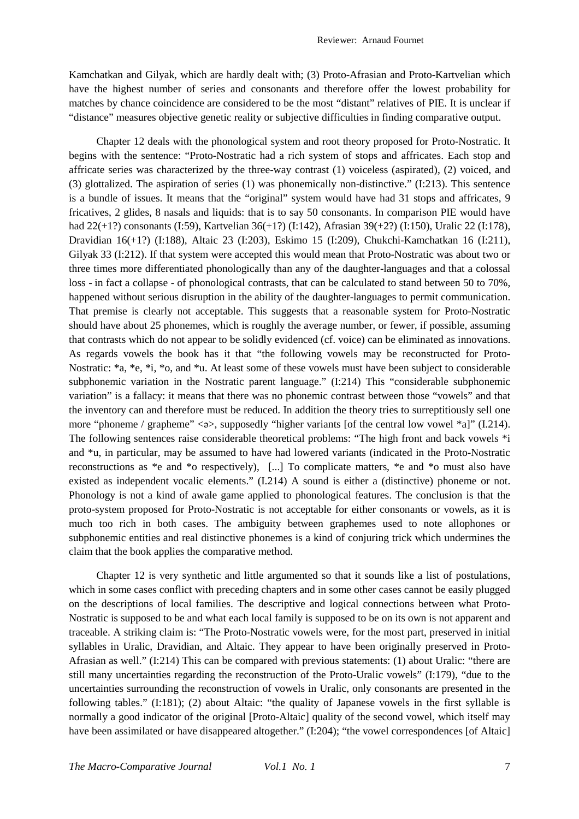Kamchatkan and Gilyak, which are hardly dealt with; (3) Proto-Afrasian and Proto-Kartvelian which have the highest number of series and consonants and therefore offer the lowest probability for matches by chance coincidence are considered to be the most "distant" relatives of PIE. It is unclear if "distance" measures objective genetic reality or subjective difficulties in finding comparative output.

Chapter 12 deals with the phonological system and root theory proposed for Proto-Nostratic. It begins with the sentence: "Proto-Nostratic had a rich system of stops and affricates. Each stop and affricate series was characterized by the three-way contrast (1) voiceless (aspirated), (2) voiced, and (3) glottalized. The aspiration of series (1) was phonemically non-distinctive." (I:213). This sentence is a bundle of issues. It means that the "original" system would have had 31 stops and affricates, 9 fricatives, 2 glides, 8 nasals and liquids: that is to say 50 consonants. In comparison PIE would have had 22(+1?) consonants (I:59), Kartvelian 36(+1?) (I:142), Afrasian 39(+2?) (I:150), Uralic 22 (I:178), Dravidian 16(+1?) (I:188), Altaic 23 (I:203), Eskimo 15 (I:209), Chukchi-Kamchatkan 16 (I:211), Gilyak 33 (I:212). If that system were accepted this would mean that Proto-Nostratic was about two or three times more differentiated phonologically than any of the daughter-languages and that a colossal loss - in fact a collapse - of phonological contrasts, that can be calculated to stand between 50 to 70%, happened without serious disruption in the ability of the daughter-languages to permit communication. That premise is clearly not acceptable. This suggests that a reasonable system for Proto-Nostratic should have about 25 phonemes, which is roughly the average number, or fewer, if possible, assuming that contrasts which do not appear to be solidly evidenced (cf. voice) can be eliminated as innovations. As regards vowels the book has it that "the following vowels may be reconstructed for Proto-Nostratic: \*a, \*e, \*i, \*o, and \*u. At least some of these vowels must have been subject to considerable subphonemic variation in the Nostratic parent language." (I:214) This "considerable subphonemic variation" is a fallacy: it means that there was no phonemic contrast between those "vowels" and that the inventory can and therefore must be reduced. In addition the theory tries to surreptitiously sell one more "phoneme / grapheme"  $\langle \gg \rangle$ , supposedly "higher variants [of the central low vowel \*a]" (I.214). The following sentences raise considerable theoretical problems: "The high front and back vowels \*i and \*u, in particular, may be assumed to have had lowered variants (indicated in the Proto-Nostratic reconstructions as \*e and \*o respectively), [...] To complicate matters, \*e and \*o must also have existed as independent vocalic elements." (I.214) A sound is either a (distinctive) phoneme or not. Phonology is not a kind of awale game applied to phonological features. The conclusion is that the proto-system proposed for Proto-Nostratic is not acceptable for either consonants or vowels, as it is much too rich in both cases. The ambiguity between graphemes used to note allophones or subphonemic entities and real distinctive phonemes is a kind of conjuring trick which undermines the claim that the book applies the comparative method.

Chapter 12 is very synthetic and little argumented so that it sounds like a list of postulations, which in some cases conflict with preceding chapters and in some other cases cannot be easily plugged on the descriptions of local families. The descriptive and logical connections between what Proto-Nostratic is supposed to be and what each local family is supposed to be on its own is not apparent and traceable. A striking claim is: "The Proto-Nostratic vowels were, for the most part, preserved in initial syllables in Uralic, Dravidian, and Altaic. They appear to have been originally preserved in Proto-Afrasian as well." (I:214) This can be compared with previous statements: (1) about Uralic: "there are still many uncertainties regarding the reconstruction of the Proto-Uralic vowels" (I:179), "due to the uncertainties surrounding the reconstruction of vowels in Uralic, only consonants are presented in the following tables." (I:181); (2) about Altaic: "the quality of Japanese vowels in the first syllable is normally a good indicator of the original [Proto-Altaic] quality of the second vowel, which itself may have been assimilated or have disappeared altogether." (I:204); "the vowel correspondences [of Altaic]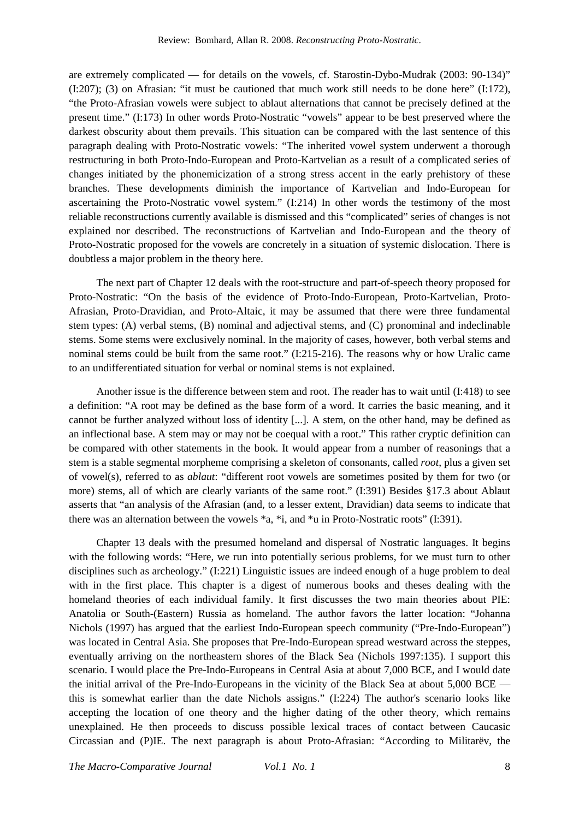are extremely complicated — for details on the vowels, cf. Starostin-Dybo-Mudrak (2003: 90-134)"  $(1:207)$ ;  $(3)$  on Afrasian: "it must be cautioned that much work still needs to be done here"  $(1:172)$ , "the Proto-Afrasian vowels were subject to ablaut alternations that cannot be precisely defined at the present time." (I:173) In other words Proto-Nostratic "vowels" appear to be best preserved where the darkest obscurity about them prevails. This situation can be compared with the last sentence of this paragraph dealing with Proto-Nostratic vowels: "The inherited vowel system underwent a thorough restructuring in both Proto-Indo-European and Proto-Kartvelian as a result of a complicated series of changes initiated by the phonemicization of a strong stress accent in the early prehistory of these branches. These developments diminish the importance of Kartvelian and Indo-European for ascertaining the Proto-Nostratic vowel system." (I:214) In other words the testimony of the most reliable reconstructions currently available is dismissed and this "complicated" series of changes is not explained nor described. The reconstructions of Kartvelian and Indo-European and the theory of Proto-Nostratic proposed for the vowels are concretely in a situation of systemic dislocation. There is doubtless a major problem in the theory here.

The next part of Chapter 12 deals with the root-structure and part-of-speech theory proposed for Proto-Nostratic: "On the basis of the evidence of Proto-Indo-European, Proto-Kartvelian, Proto-Afrasian, Proto-Dravidian, and Proto-Altaic, it may be assumed that there were three fundamental stem types: (A) verbal stems, (B) nominal and adjectival stems, and (C) pronominal and indeclinable stems. Some stems were exclusively nominal. In the majority of cases, however, both verbal stems and nominal stems could be built from the same root." (I:215-216). The reasons why or how Uralic came to an undifferentiated situation for verbal or nominal stems is not explained.

Another issue is the difference between stem and root. The reader has to wait until (I:418) to see a definition: "A root may be defined as the base form of a word. It carries the basic meaning, and it cannot be further analyzed without loss of identity [...]. A stem, on the other hand, may be defined as an inflectional base. A stem may or may not be coequal with a root." This rather cryptic definition can be compared with other statements in the book. It would appear from a number of reasonings that a stem is a stable segmental morpheme comprising a skeleton of consonants, called *root*, plus a given set of vowel(s), referred to as *ablaut*: "different root vowels are sometimes posited by them for two (or more) stems, all of which are clearly variants of the same root." (I:391) Besides §17.3 about Ablaut asserts that "an analysis of the Afrasian (and, to a lesser extent, Dravidian) data seems to indicate that there was an alternation between the vowels \*a, \*i, and \*u in Proto-Nostratic roots" (I:391).

Chapter 13 deals with the presumed homeland and dispersal of Nostratic languages. It begins with the following words: "Here, we run into potentially serious problems, for we must turn to other disciplines such as archeology." (I:221) Linguistic issues are indeed enough of a huge problem to deal with in the first place. This chapter is a digest of numerous books and theses dealing with the homeland theories of each individual family. It first discusses the two main theories about PIE: Anatolia or South-(Eastern) Russia as homeland. The author favors the latter location: "Johanna Nichols (1997) has argued that the earliest Indo-European speech community ("Pre-Indo-European") was located in Central Asia. She proposes that Pre-Indo-European spread westward across the steppes, eventually arriving on the northeastern shores of the Black Sea (Nichols 1997:135). I support this scenario. I would place the Pre-Indo-Europeans in Central Asia at about 7,000 BCE, and I would date the initial arrival of the Pre-Indo-Europeans in the vicinity of the Black Sea at about 5,000 BCE this is somewhat earlier than the date Nichols assigns." (I:224) The author's scenario looks like accepting the location of one theory and the higher dating of the other theory, which remains unexplained. He then proceeds to discuss possible lexical traces of contact between Caucasic Circassian and (P)IE. The next paragraph is about Proto-Afrasian: "According to Militarëv, the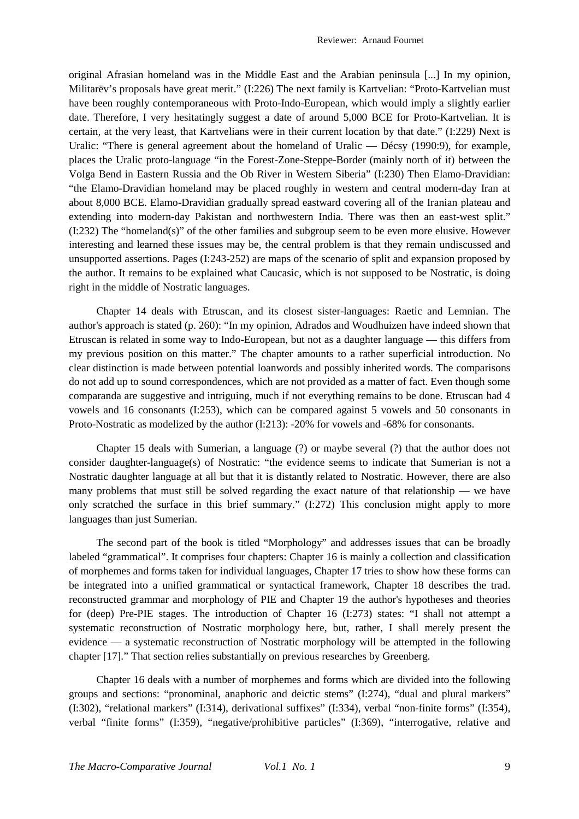Reviewer: Arnaud Fournet

original Afrasian homeland was in the Middle East and the Arabian peninsula [...] In my opinion, Militarëv's proposals have great merit." (I:226) The next family is Kartvelian: "Proto-Kartvelian must have been roughly contemporaneous with Proto-Indo-European, which would imply a slightly earlier date. Therefore, I very hesitatingly suggest a date of around 5,000 BCE for Proto-Kartvelian. It is certain, at the very least, that Kartvelians were in their current location by that date." (I:229) Next is Uralic: "There is general agreement about the homeland of Uralic — Décsy (1990:9), for example, places the Uralic proto-language "in the Forest-Zone-Steppe-Border (mainly north of it) between the Volga Bend in Eastern Russia and the Ob River in Western Siberia" (I:230) Then Elamo-Dravidian: "the Elamo-Dravidian homeland may be placed roughly in western and central modern-day Iran at about 8,000 BCE. Elamo-Dravidian gradually spread eastward covering all of the Iranian plateau and extending into modern-day Pakistan and northwestern India. There was then an east-west split." (I:232) The "homeland(s)" of the other families and subgroup seem to be even more elusive. However interesting and learned these issues may be, the central problem is that they remain undiscussed and unsupported assertions. Pages (I:243-252) are maps of the scenario of split and expansion proposed by the author. It remains to be explained what Caucasic, which is not supposed to be Nostratic, is doing right in the middle of Nostratic languages.

Chapter 14 deals with Etruscan, and its closest sister-languages: Raetic and Lemnian. The author's approach is stated (p. 260): "In my opinion, Adrados and Woudhuizen have indeed shown that Etruscan is related in some way to Indo-European, but not as a daughter language — this differs from my previous position on this matter." The chapter amounts to a rather superficial introduction. No clear distinction is made between potential loanwords and possibly inherited words. The comparisons do not add up to sound correspondences, which are not provided as a matter of fact. Even though some comparanda are suggestive and intriguing, much if not everything remains to be done. Etruscan had 4 vowels and 16 consonants (I:253), which can be compared against 5 vowels and 50 consonants in Proto-Nostratic as modelized by the author (I:213): -20% for vowels and -68% for consonants.

Chapter 15 deals with Sumerian, a language (?) or maybe several (?) that the author does not consider daughter-language(s) of Nostratic: "the evidence seems to indicate that Sumerian is not a Nostratic daughter language at all but that it is distantly related to Nostratic. However, there are also many problems that must still be solved regarding the exact nature of that relationship — we have only scratched the surface in this brief summary." (I:272) This conclusion might apply to more languages than just Sumerian.

The second part of the book is titled "Morphology" and addresses issues that can be broadly labeled "grammatical". It comprises four chapters: Chapter 16 is mainly a collection and classification of morphemes and forms taken for individual languages, Chapter 17 tries to show how these forms can be integrated into a unified grammatical or syntactical framework, Chapter 18 describes the trad. reconstructed grammar and morphology of PIE and Chapter 19 the author's hypotheses and theories for (deep) Pre-PIE stages. The introduction of Chapter 16 (I:273) states: "I shall not attempt a systematic reconstruction of Nostratic morphology here, but, rather, I shall merely present the evidence — a systematic reconstruction of Nostratic morphology will be attempted in the following chapter [17]." That section relies substantially on previous researches by Greenberg.

Chapter 16 deals with a number of morphemes and forms which are divided into the following groups and sections: "pronominal, anaphoric and deictic stems" (I:274), "dual and plural markers" (I:302), "relational markers" (I:314), derivational suffixes" (I:334), verbal "non-finite forms" (I:354), verbal "finite forms" (I:359), "negative/prohibitive particles" (I:369), "interrogative, relative and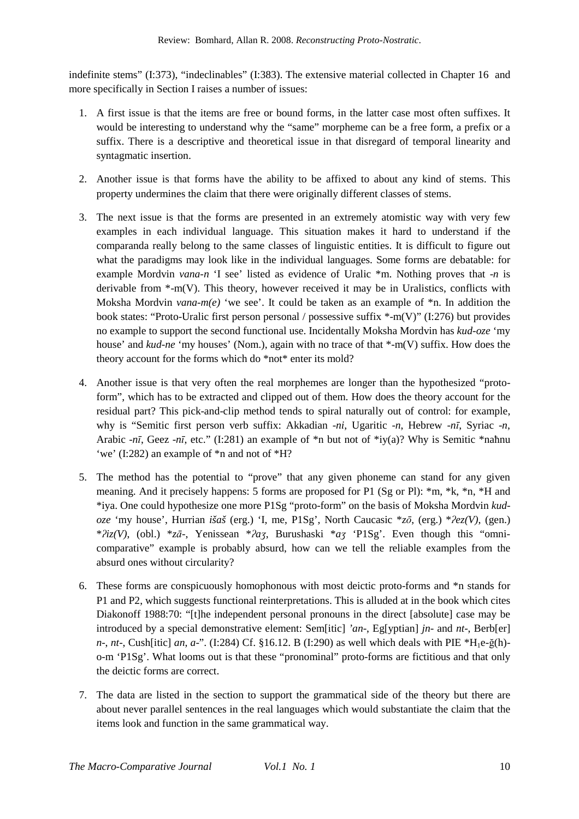indefinite stems" (I:373), "indeclinables" (I:383). The extensive material collected in Chapter 16 and more specifically in Section I raises a number of issues:

- 1. A first issue is that the items are free or bound forms, in the latter case most often suffixes. It would be interesting to understand why the "same" morpheme can be a free form, a prefix or a suffix. There is a descriptive and theoretical issue in that disregard of temporal linearity and syntagmatic insertion.
- 2. Another issue is that forms have the ability to be affixed to about any kind of stems. This property undermines the claim that there were originally different classes of stems.
- 3. The next issue is that the forms are presented in an extremely atomistic way with very few examples in each individual language. This situation makes it hard to understand if the comparanda really belong to the same classes of linguistic entities. It is difficult to figure out what the paradigms may look like in the individual languages. Some forms are debatable: for example Mordvin *vana-n* 'I see' listed as evidence of Uralic \*m. Nothing proves that -*n* is derivable from \*-m(V). This theory, however received it may be in Uralistics, conflicts with Moksha Mordvin *vana-m(e)* 'we see'. It could be taken as an example of  $*n$ . In addition the book states: "Proto-Uralic first person personal / possessive suffix \*-m(V)" (I:276) but provides no example to support the second functional use. Incidentally Moksha Mordvin has *kud-oze* 'my house' and *kud-ne* 'my houses' (Nom.), again with no trace of that \*-m(V) suffix. How does the theory account for the forms which do \*not\* enter its mold?
- 4. Another issue is that very often the real morphemes are longer than the hypothesized "protoform", which has to be extracted and clipped out of them. How does the theory account for the residual part? This pick-and-clip method tends to spiral naturally out of control: for example, why is "Semitic first person verb suffix: Akkadian -*ni*, Ugaritic -*n*, Hebrew -*nī*, Syriac -*n*, Arabic -*nī*, Geez -*nī*, etc." (I:281) an example of \*n but not of \*iy(a)? Why is Semitic \*naħnu 'we' (I:282) an example of \*n and not of \*H?
- 5. The method has the potential to "prove" that any given phoneme can stand for any given meaning. And it precisely happens: 5 forms are proposed for P1 (Sg or Pl): \*m, \*k, \*n, \*H and \*iya. One could hypothesize one more P1Sg "proto-form" on the basis of Moksha Mordvin *kudoze* 'my house', Hurrian *išaš* (erg.) 'I, me, P1Sg', North Caucasic \**zō*, (erg.) \**ʔez(V)*, (gen.) \**ʔiz(V)*, (obl.) \**zā-*, Yenissean \**ʔaʒ*, Burushaski \**aʒ* 'P1Sg'. Even though this "omnicomparative" example is probably absurd, how can we tell the reliable examples from the absurd ones without circularity?
- 6. These forms are conspicuously homophonous with most deictic proto-forms and \*n stands for P1 and P2, which suggests functional reinterpretations. This is alluded at in the book which cites Diakonoff 1988:70: "[t]he independent personal pronouns in the direct [absolute] case may be introduced by a special demonstrative element: Sem[itic] *'an*-, Eg[yptian] *jn*- and *nt*-, Berb[er] *n*-, *nt*-, Cush[itic] *an*, *a*-". (I:284) Cf. §16.12. B (I:290) as well which deals with PIE  $*H_1e-\tilde{g}(h)$ o-m 'P1Sg'. What looms out is that these "pronominal" proto-forms are fictitious and that only the deictic forms are correct.
- 7. The data are listed in the section to support the grammatical side of the theory but there are about never parallel sentences in the real languages which would substantiate the claim that the items look and function in the same grammatical way.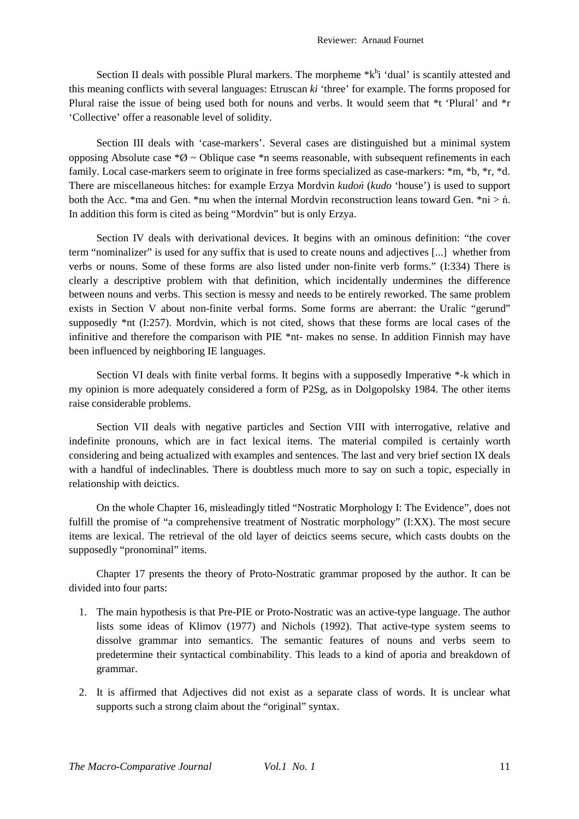Section II deals with possible Plural markers. The morpheme  $*k<sup>h</sup>i$  'dual' is scantily attested and this meaning conflicts with several languages: Etruscan *ki* 'three' for example. The forms proposed for Plural raise the issue of being used both for nouns and verbs. It would seem that \*t 'Plural' and \*r 'Collective' offer a reasonable level of solidity.

Section III deals with 'case-markers'. Several cases are distinguished but a minimal system opposing Absolute case  $*\mathcal{O}$  ~ Oblique case  $*\mathbb{n}$  seems reasonable, with subsequent refinements in each family. Local case-markers seem to originate in free forms specialized as case-markers: \*m, \*b, \*r, \*d. There are miscellaneous hitches: for example Erzya Mordvin *kudoń* (*kudo* 'house') is used to support both the Acc. \*ma and Gen. \*nu when the internal Mordvin reconstruction leans toward Gen. \*ni  $>$ n. In addition this form is cited as being "Mordvin" but is only Erzya.

Section IV deals with derivational devices. It begins with an ominous definition: "the cover term "nominalizer" is used for any suffix that is used to create nouns and adjectives [...] whether from verbs or nouns. Some of these forms are also listed under non-finite verb forms." (I:334) There is clearly a descriptive problem with that definition, which incidentally undermines the difference between nouns and verbs. This section is messy and needs to be entirely reworked. The same problem exists in Section V about non-finite verbal forms. Some forms are aberrant: the Uralic "gerund" supposedly \*nt (I:257). Mordvin, which is not cited, shows that these forms are local cases of the infinitive and therefore the comparison with PIE \*nt- makes no sense. In addition Finnish may have been influenced by neighboring IE languages.

Section VI deals with finite verbal forms. It begins with a supposedly Imperative \*-k which in my opinion is more adequately considered a form of P2Sg, as in Dolgopolsky 1984. The other items raise considerable problems.

Section VII deals with negative particles and Section VIII with interrogative, relative and indefinite pronouns, which are in fact lexical items. The material compiled is certainly worth considering and being actualized with examples and sentences. The last and very brief section IX deals with a handful of indeclinables. There is doubtless much more to say on such a topic, especially in relationship with deictics.

On the whole Chapter 16, misleadingly titled "Nostratic Morphology I: The Evidence", does not fulfill the promise of "a comprehensive treatment of Nostratic morphology" (I:XX). The most secure items are lexical. The retrieval of the old layer of deictics seems secure, which casts doubts on the supposedly "pronominal" items.

Chapter 17 presents the theory of Proto-Nostratic grammar proposed by the author. It can be divided into four parts:

- 1. The main hypothesis is that Pre-PIE or Proto-Nostratic was an active-type language. The author lists some ideas of Klimov (1977) and Nichols (1992). That active-type system seems to dissolve grammar into semantics. The semantic features of nouns and verbs seem to predetermine their syntactical combinability. This leads to a kind of aporia and breakdown of grammar.
- 2. It is affirmed that Adjectives did not exist as a separate class of words. It is unclear what supports such a strong claim about the "original" syntax.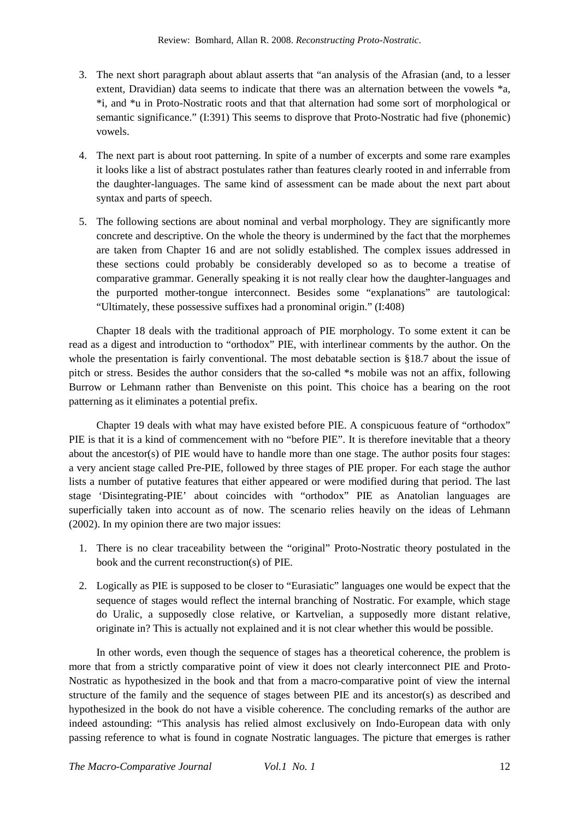- 3. The next short paragraph about ablaut asserts that "an analysis of the Afrasian (and, to a lesser extent, Dravidian) data seems to indicate that there was an alternation between the vowels \*a, \*i, and \*u in Proto-Nostratic roots and that that alternation had some sort of morphological or semantic significance." (I:391) This seems to disprove that Proto-Nostratic had five (phonemic) vowels.
- 4. The next part is about root patterning. In spite of a number of excerpts and some rare examples it looks like a list of abstract postulates rather than features clearly rooted in and inferrable from the daughter-languages. The same kind of assessment can be made about the next part about syntax and parts of speech.
- 5. The following sections are about nominal and verbal morphology. They are significantly more concrete and descriptive. On the whole the theory is undermined by the fact that the morphemes are taken from Chapter 16 and are not solidly established. The complex issues addressed in these sections could probably be considerably developed so as to become a treatise of comparative grammar. Generally speaking it is not really clear how the daughter-languages and the purported mother-tongue interconnect. Besides some "explanations" are tautological: "Ultimately, these possessive suffixes had a pronominal origin." (I:408)

Chapter 18 deals with the traditional approach of PIE morphology. To some extent it can be read as a digest and introduction to "orthodox" PIE, with interlinear comments by the author. On the whole the presentation is fairly conventional. The most debatable section is §18.7 about the issue of pitch or stress. Besides the author considers that the so-called \*s mobile was not an affix, following Burrow or Lehmann rather than Benveniste on this point. This choice has a bearing on the root patterning as it eliminates a potential prefix.

Chapter 19 deals with what may have existed before PIE. A conspicuous feature of "orthodox" PIE is that it is a kind of commencement with no "before PIE". It is therefore inevitable that a theory about the ancestor(s) of PIE would have to handle more than one stage. The author posits four stages: a very ancient stage called Pre-PIE, followed by three stages of PIE proper. For each stage the author lists a number of putative features that either appeared or were modified during that period. The last stage 'Disintegrating-PIE' about coincides with "orthodox" PIE as Anatolian languages are superficially taken into account as of now. The scenario relies heavily on the ideas of Lehmann (2002). In my opinion there are two major issues:

- 1. There is no clear traceability between the "original" Proto-Nostratic theory postulated in the book and the current reconstruction(s) of PIE.
- 2. Logically as PIE is supposed to be closer to "Eurasiatic" languages one would be expect that the sequence of stages would reflect the internal branching of Nostratic. For example, which stage do Uralic, a supposedly close relative, or Kartvelian, a supposedly more distant relative, originate in? This is actually not explained and it is not clear whether this would be possible.

In other words, even though the sequence of stages has a theoretical coherence, the problem is more that from a strictly comparative point of view it does not clearly interconnect PIE and Proto-Nostratic as hypothesized in the book and that from a macro-comparative point of view the internal structure of the family and the sequence of stages between PIE and its ancestor(s) as described and hypothesized in the book do not have a visible coherence. The concluding remarks of the author are indeed astounding: "This analysis has relied almost exclusively on Indo-European data with only passing reference to what is found in cognate Nostratic languages. The picture that emerges is rather